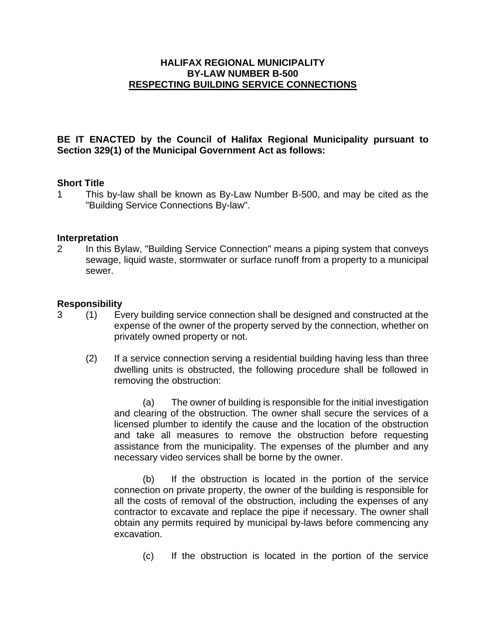## **HALIFAX REGIONAL MUNICIPALITY BY-LAW NUMBER B-500 RESPECTING BUILDING SERVICE CONNECTIONS**

## **BE IT ENACTED by the Council of Halifax Regional Municipality pursuant to Section 329(1) of the Municipal Government Act as follows:**

#### **Short Title**

1 This by-law shall be known as By-Law Number B-500, and may be cited as the "Building Service Connections By-law".

#### **Interpretation**

2 In this Bylaw, "Building Service Connection" means a piping system that conveys sewage, liquid waste, stormwater or surface runoff from a property to a municipal sewer.

#### **Responsibility**

- 3 (1) Every building service connection shall be designed and constructed at the expense of the owner of the property served by the connection, whether on privately owned property or not.
	- (2) If a service connection serving a residential building having less than three dwelling units is obstructed, the following procedure shall be followed in removing the obstruction:

(a) The owner of building is responsible for the initial investigation and clearing of the obstruction. The owner shall secure the services of a licensed plumber to identify the cause and the location of the obstruction and take all measures to remove the obstruction before requesting assistance from the municipality. The expenses of the plumber and any necessary video services shall be borne by the owner.

(b) If the obstruction is located in the portion of the service connection on private property, the owner of the building is responsible for all the costs of removal of the obstruction, including the expenses of any contractor to excavate and replace the pipe if necessary. The owner shall obtain any permits required by municipal by-laws before commencing any excavation.

(c) If the obstruction is located in the portion of the service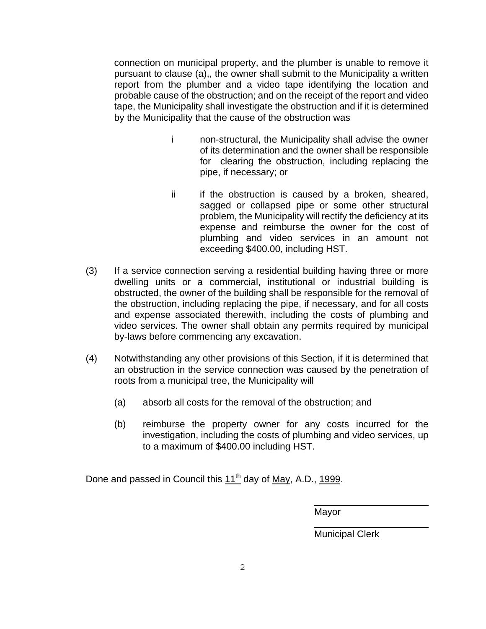connection on municipal property, and the plumber is unable to remove it pursuant to clause (a),, the owner shall submit to the Municipality a written report from the plumber and a video tape identifying the location and probable cause of the obstruction; and on the receipt of the report and video tape, the Municipality shall investigate the obstruction and if it is determined by the Municipality that the cause of the obstruction was

- i non-structural, the Municipality shall advise the owner of its determination and the owner shall be responsible for clearing the obstruction, including replacing the pipe, if necessary; or
- ii if the obstruction is caused by a broken, sheared, sagged or collapsed pipe or some other structural problem, the Municipality will rectify the deficiency at its expense and reimburse the owner for the cost of plumbing and video services in an amount not exceeding \$400.00, including HST.
- (3) If a service connection serving a residential building having three or more dwelling units or a commercial, institutional or industrial building is obstructed, the owner of the building shall be responsible for the removal of the obstruction, including replacing the pipe, if necessary, and for all costs and expense associated therewith, including the costs of plumbing and video services. The owner shall obtain any permits required by municipal by-laws before commencing any excavation.
- (4) Notwithstanding any other provisions of this Section, if it is determined that an obstruction in the service connection was caused by the penetration of roots from a municipal tree, the Municipality will
	- (a) absorb all costs for the removal of the obstruction; and
	- (b) reimburse the property owner for any costs incurred for the investigation, including the costs of plumbing and video services, up to a maximum of \$400.00 including HST.

Done and passed in Council this  $11^{th}$  day of May, A.D., 1999.

Mayor

 $\overline{a}$ 

 $\overline{a}$ 

Municipal Clerk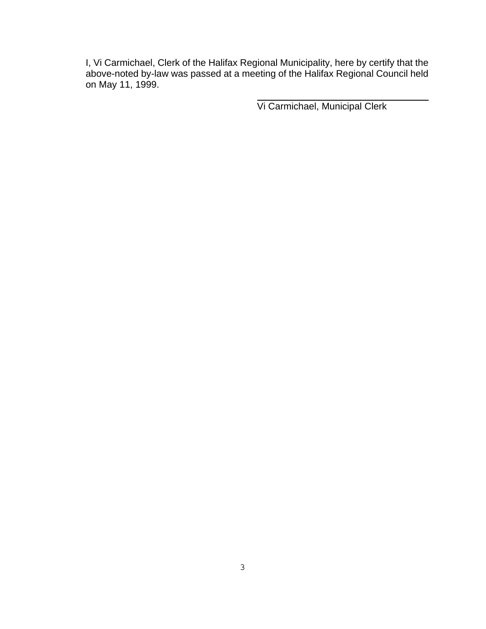I, Vi Carmichael, Clerk of the Halifax Regional Municipality, here by certify that the above-noted by-law was passed at a meeting of the Halifax Regional Council held on May 11, 1999.

Vi Carmichael, Municipal Clerk